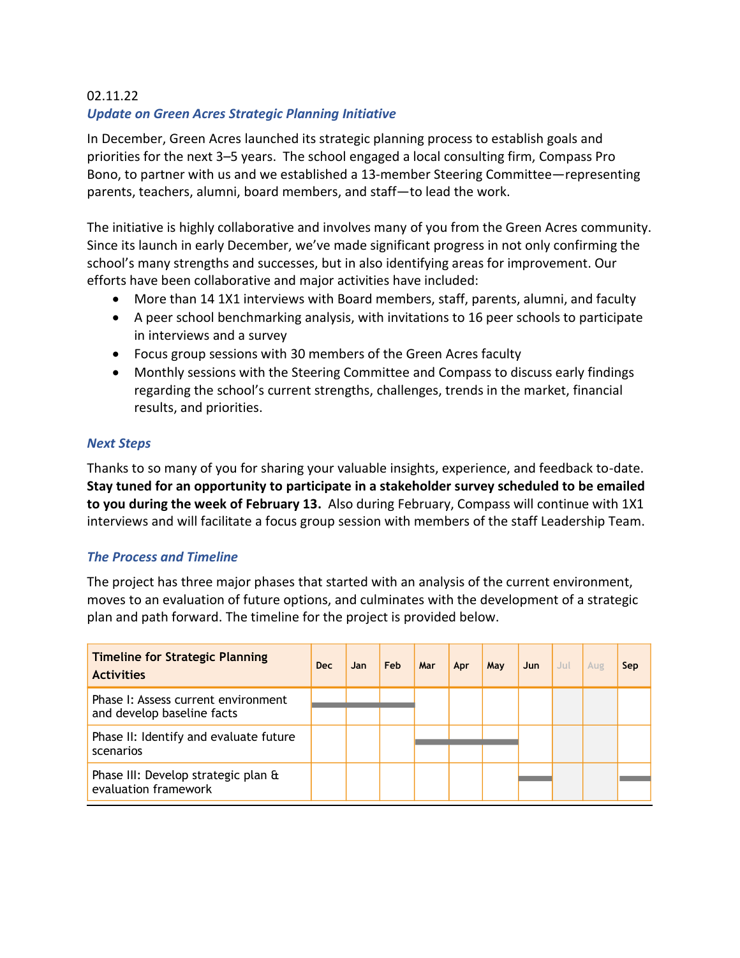## 02.11.22 *Update on Green Acres Strategic Planning Initiative*

In December, Green Acres launched its strategic planning process to establish goals and priorities for the next 3–5 years. The school engaged a local consulting firm, Compass Pro Bono, to partner with us and we established a 13-member Steering Committee—representing parents, teachers, alumni, board members, and staff—to lead the work.

The initiative is highly collaborative and involves many of you from the Green Acres community. Since its launch in early December, we've made significant progress in not only confirming the school's many strengths and successes, but in also identifying areas for improvement. Our efforts have been collaborative and major activities have included:

- More than 14 1X1 interviews with Board members, staff, parents, alumni, and faculty
- A peer school benchmarking analysis, with invitations to 16 peer schools to participate in interviews and a survey
- Focus group sessions with 30 members of the Green Acres faculty
- Monthly sessions with the Steering Committee and Compass to discuss early findings regarding the school's current strengths, challenges, trends in the market, financial results, and priorities.

## *Next Steps*

Thanks to so many of you for sharing your valuable insights, experience, and feedback to-date. **Stay tuned for an opportunity to participate in a stakeholder survey scheduled to be emailed to you during the week of February 13.** Also during February, Compass will continue with 1X1 interviews and will facilitate a focus group session with members of the staff Leadership Team.

## *The Process and Timeline*

The project has three major phases that started with an analysis of the current environment, moves to an evaluation of future options, and culminates with the development of a strategic plan and path forward. The timeline for the project is provided below.

| <b>Timeline for Strategic Planning</b><br><b>Activities</b>       | <b>Dec</b> | Jan. | Feb | Mar | Apr | May | Jun | Jul | Aug | Sep |
|-------------------------------------------------------------------|------------|------|-----|-----|-----|-----|-----|-----|-----|-----|
| Phase I: Assess current environment<br>and develop baseline facts |            |      |     |     |     |     |     |     |     |     |
|                                                                   |            |      |     |     |     |     |     |     |     |     |
| Phase II: Identify and evaluate future<br>scenarios               |            |      |     |     |     |     |     |     |     |     |
| Phase III: Develop strategic plan &<br>evaluation framework       |            |      |     |     |     |     |     |     |     |     |